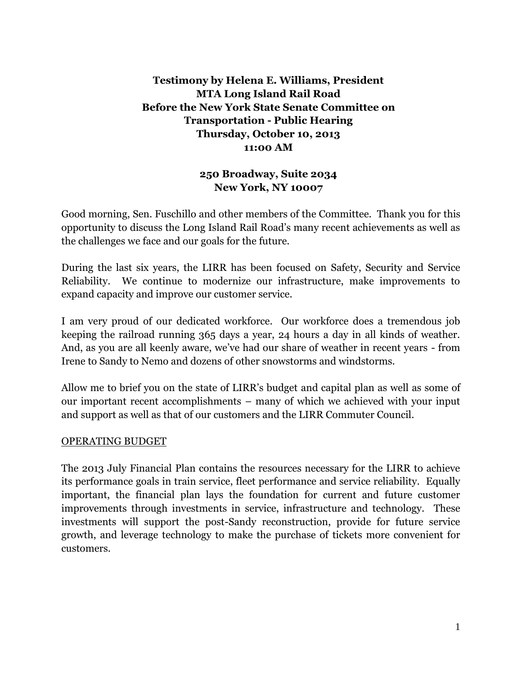## **Testimony by Helena E. Williams, President MTA Long Island Rail Road Before the New York State Senate Committee on Transportation - Public Hearing Thursday, October 10, 2013 11:00 AM**

## **250 Broadway, Suite 2034 New York, NY 10007**

Good morning, Sen. Fuschillo and other members of the Committee. Thank you for this opportunity to discuss the Long Island Rail Road's many recent achievements as well as the challenges we face and our goals for the future.

During the last six years, the LIRR has been focused on Safety, Security and Service Reliability. We continue to modernize our infrastructure, make improvements to expand capacity and improve our customer service.

I am very proud of our dedicated workforce. Our workforce does a tremendous job keeping the railroad running 365 days a year, 24 hours a day in all kinds of weather. And, as you are all keenly aware, we've had our share of weather in recent years - from Irene to Sandy to Nemo and dozens of other snowstorms and windstorms.

Allow me to brief you on the state of LIRR's budget and capital plan as well as some of our important recent accomplishments – many of which we achieved with your input and support as well as that of our customers and the LIRR Commuter Council.

## OPERATING BUDGET

The 2013 July Financial Plan contains the resources necessary for the LIRR to achieve its performance goals in train service, fleet performance and service reliability. Equally important, the financial plan lays the foundation for current and future customer improvements through investments in service, infrastructure and technology. These investments will support the post-Sandy reconstruction, provide for future service growth, and leverage technology to make the purchase of tickets more convenient for customers.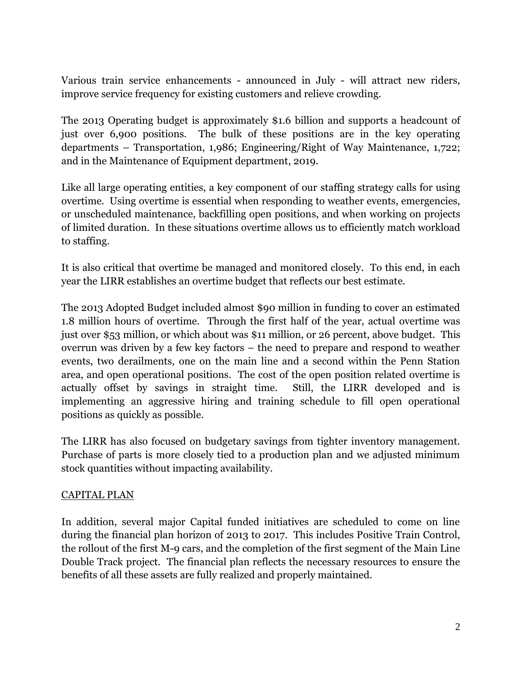Various train service enhancements - announced in July - will attract new riders, improve service frequency for existing customers and relieve crowding.

The 2013 Operating budget is approximately \$1.6 billion and supports a headcount of just over 6,900 positions. The bulk of these positions are in the key operating departments – Transportation, 1,986; Engineering/Right of Way Maintenance, 1,722; and in the Maintenance of Equipment department, 2019.

Like all large operating entities, a key component of our staffing strategy calls for using overtime. Using overtime is essential when responding to weather events, emergencies, or unscheduled maintenance, backfilling open positions, and when working on projects of limited duration. In these situations overtime allows us to efficiently match workload to staffing.

It is also critical that overtime be managed and monitored closely. To this end, in each year the LIRR establishes an overtime budget that reflects our best estimate.

The 2013 Adopted Budget included almost \$90 million in funding to cover an estimated 1.8 million hours of overtime. Through the first half of the year, actual overtime was just over \$53 million, or which about was \$11 million, or 26 percent, above budget. This overrun was driven by a few key factors – the need to prepare and respond to weather events, two derailments, one on the main line and a second within the Penn Station area, and open operational positions. The cost of the open position related overtime is actually offset by savings in straight time. Still, the LIRR developed and is implementing an aggressive hiring and training schedule to fill open operational positions as quickly as possible.

The LIRR has also focused on budgetary savings from tighter inventory management. Purchase of parts is more closely tied to a production plan and we adjusted minimum stock quantities without impacting availability.

## CAPITAL PLAN

In addition, several major Capital funded initiatives are scheduled to come on line during the financial plan horizon of 2013 to 2017. This includes Positive Train Control, the rollout of the first M-9 cars, and the completion of the first segment of the Main Line Double Track project. The financial plan reflects the necessary resources to ensure the benefits of all these assets are fully realized and properly maintained.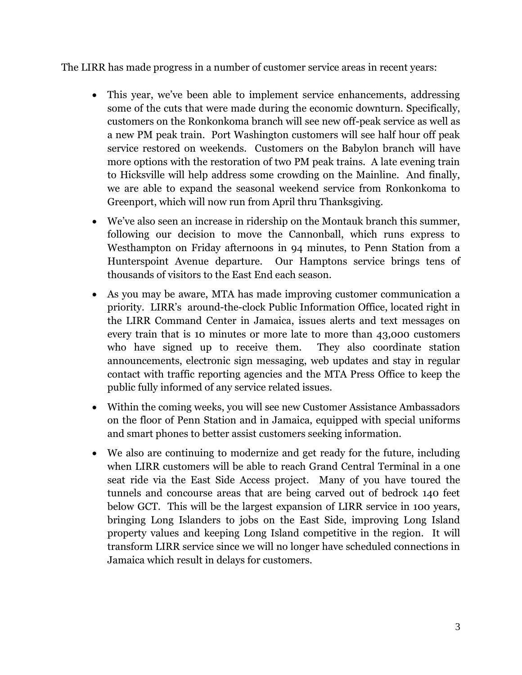The LIRR has made progress in a number of customer service areas in recent years:

- This year, we've been able to implement service enhancements, addressing some of the cuts that were made during the economic downturn. Specifically, customers on the Ronkonkoma branch will see new off-peak service as well as a new PM peak train. Port Washington customers will see half hour off peak service restored on weekends. Customers on the Babylon branch will have more options with the restoration of two PM peak trains. A late evening train to Hicksville will help address some crowding on the Mainline. And finally, we are able to expand the seasonal weekend service from Ronkonkoma to Greenport, which will now run from April thru Thanksgiving.
- We've also seen an increase in ridership on the Montauk branch this summer, following our decision to move the Cannonball, which runs express to Westhampton on Friday afternoons in 94 minutes, to Penn Station from a Hunterspoint Avenue departure. Our Hamptons service brings tens of thousands of visitors to the East End each season.
- As you may be aware, MTA has made improving customer communication a priority. LIRR's around-the-clock Public Information Office, located right in the LIRR Command Center in Jamaica, issues alerts and text messages on every train that is 10 minutes or more late to more than 43,000 customers who have signed up to receive them. They also coordinate station announcements, electronic sign messaging, web updates and stay in regular contact with traffic reporting agencies and the MTA Press Office to keep the public fully informed of any service related issues.
- Within the coming weeks, you will see new Customer Assistance Ambassadors on the floor of Penn Station and in Jamaica, equipped with special uniforms and smart phones to better assist customers seeking information.
- We also are continuing to modernize and get ready for the future, including when LIRR customers will be able to reach Grand Central Terminal in a one seat ride via the East Side Access project. Many of you have toured the tunnels and concourse areas that are being carved out of bedrock 140 feet below GCT. This will be the largest expansion of LIRR service in 100 years, bringing Long Islanders to jobs on the East Side, improving Long Island property values and keeping Long Island competitive in the region. It will transform LIRR service since we will no longer have scheduled connections in Jamaica which result in delays for customers.